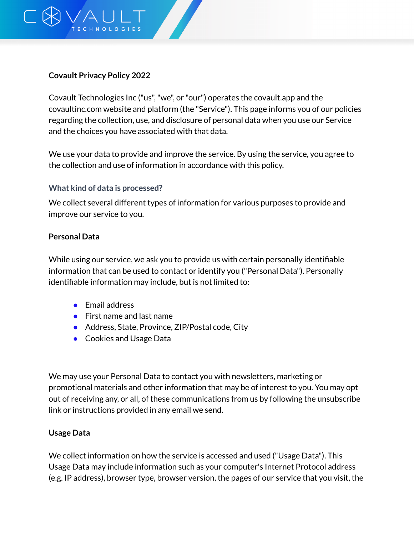

## **Covault Privacy Policy 2022**

Covault Technologies Inc ("us", "we", or "our") operates the covault.app and the covaultinc.com website and platform (the "Service"). This page informs you of our policies regarding the collection, use, and disclosure of personal data when you use our Service and the choices you have associated with that data.

We use your data to provide and improve the service. By using the service, you agree to the collection and use of information in accordance with this policy.

## **What kind of data is processed?**

We collect several different types of information for various purposes to provide and improve our service to you.

### **Personal Data**

While using our service, we ask you to provide us with certain personally identifiable information that can be used to contact or identify you ("Personal Data"). Personally identifiable information may include, but is not limited to:

- Email address
- First name and last name
- Address, State, Province, ZIP/Postal code, City
- Cookies and Usage Data

We may use your Personal Data to contact you with newsletters, marketing or promotional materials and other information that may be of interest to you. You may opt out of receiving any, or all, of these communications from us by following the unsubscribe link or instructions provided in any email we send.

## **Usage Data**

We collect information on how the service is accessed and used ("Usage Data"). This Usage Data may include information such as your computer's Internet Protocol address (e.g. IP address), browser type, browser version, the pages of our service that you visit, the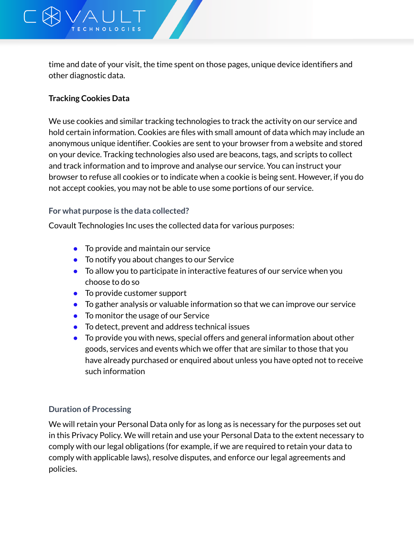

time and date of your visit, the time spent on those pages, unique device identifiers and other diagnostic data.

# **Tracking Cookies Data**

We use cookies and similar tracking technologies to track the activity on our service and hold certain information. Cookies are files with small amount of data which may include an anonymous unique identifier. Cookies are sent to your browser from a website and stored on your device. Tracking technologies also used are beacons, tags, and scripts to collect and track information and to improve and analyse our service. You can instruct your browser to refuse all cookies or to indicate when a cookie is being sent. However, if you do not accept cookies, you may not be able to use some portions of our service.

### **For what purpose is the data collected?**

Covault Technologies Inc uses the collected data for various purposes:

- To provide and maintain our service
- To notify you about changes to our Service
- To allow you to participate in interactive features of our service when you choose to do so
- To provide customer support
- To gather analysis or valuable information so that we can improve our service
- To monitor the usage of our Service
- To detect, prevent and address technical issues
- To provide you with news, special offers and general information about other goods, services and events which we offer that are similar to those that you have already purchased or enquired about unless you have opted not to receive such information

## **Duration of Processing**

We will retain your Personal Data only for as long as is necessary for the purposes set out in this Privacy Policy. We will retain and use your Personal Data to the extent necessary to comply with our legal obligations (for example, if we are required to retain your data to comply with applicable laws), resolve disputes, and enforce our legal agreements and policies.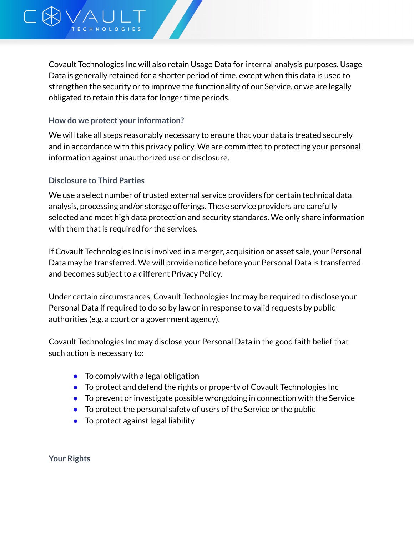

Covault Technologies Inc will also retain Usage Data for internal analysis purposes. Usage Data is generally retained for a shorter period of time, except when this data is used to strengthen the security or to improve the functionality of our Service, or we are legally obligated to retain this data for longer time periods.

### **How do we protect your information?**

We will take all steps reasonably necessary to ensure that your data is treated securely and in accordance with this privacy policy. We are committed to protecting your personal information against unauthorized use or disclosure.

### **Disclosure to Third Parties**

We use a select number of trusted external service providers for certain technical data analysis, processing and/or storage offerings. These service providers are carefully selected and meet high data protection and security standards. We only share information with them that is required for the services.

If Covault Technologies Inc is involved in a merger, acquisition or asset sale, your Personal Data may be transferred. We will provide notice before your Personal Data is transferred and becomes subject to a different Privacy Policy.

Under certain circumstances, Covault Technologies Inc may be required to disclose your Personal Data if required to do so by law or in response to valid requests by public authorities (e.g. a court or a government agency).

Covault Technologies Inc may disclose your Personal Data in the good faith belief that such action is necessary to:

- $\bullet$  To comply with a legal obligation
- To protect and defend the rights or property of Covault Technologies Inc
- To prevent or investigate possible wrongdoing in connection with the Service
- To protect the personal safety of users of the Service or the public
- To protect against legal liability

**Your Rights**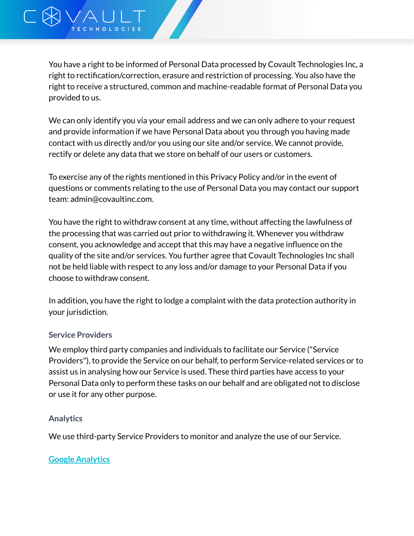We can only identify you via your email address and we can only adhere to your request and provide information if we have Personal Data about you through you having made contact with us directly and/or you using our site and/or service. We cannot provide, rectify or delete any data that we store on behalf of our users or customers.

To exercise any of the rights mentioned in this Privacy Policy and/or in the event of questions or comments relating to the use of Personal Data you may contact our support team: admin@covaultinc.com.

You have the right to withdraw consent at any time, without affecting the lawfulness of the processing that was carried out prior to withdrawing it. Whenever you withdraw consent, you acknowledge and accept that this may have a negative influence on the quality of the site and/or services. You further agree that Covault Technologies Inc shall not be held liable with respect to any loss and/or damage to your Personal Data if you choose to withdraw consent.

In addition, you have the right to lodge a complaint with the data protection authority in your jurisdiction.

## **Service Providers**

**NOLOGIES** 

We employ third party companies and individuals to facilitate our Service ("Service Providers"), to provide the Service on our behalf, to perform Service-related services or to assist us in analysing how our Service is used. These third parties have access to your Personal Data only to perform these tasks on our behalf and are obligated not to disclose or use it for any other purpose.

# **Analytics**

We use third-party Service Providers to monitor and analyze the use of our Service.

# **Google [Analytics](https://policies.google.com/privacy)**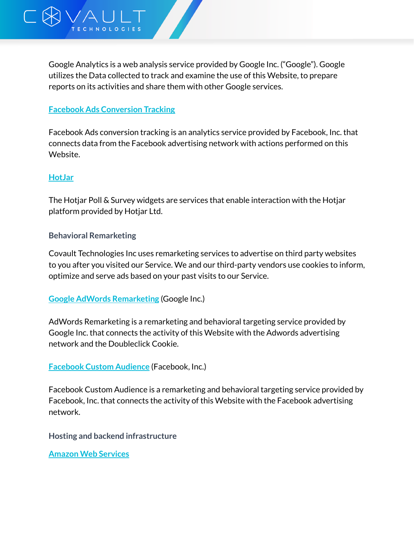

## **Facebook Ads [Conversion](https://www.facebook.com/policies) Tracking**

**HNOLOGIES** 

Facebook Ads conversion tracking is an analytics service provided by Facebook, Inc. that connects data from the Facebook advertising network with actions performed on this Website.

#### **[HotJar](https://www.hotjar.com/privacy)**

The Hotjar Poll & Survey widgets are services that enable interaction with the Hotjar platform provided by Hotjar Ltd.

#### **Behavioral Remarketing**

Covault Technologies Inc uses remarketing services to advertise on third party websites to you after you visited our Service. We and our third-party vendors use cookies to inform, optimize and serve ads based on your past visits to our Service.

#### **Google AdWords [Remarketing](https://policies.google.com/privacy)** (Google Inc.)

AdWords Remarketing is a remarketing and behavioral targeting service provided by Google Inc. that connects the activity of this Website with the Adwords advertising network and the Doubleclick Cookie.

**[Facebook](https://www.facebook.com/about/privacy/) Custom Audience** (Facebook, Inc.)

Facebook Custom Audience is a remarketing and behavioral targeting service provided by Facebook, Inc. that connects the activity of this Website with the Facebook advertising network.

**Hosting and backend infrastructure**

**Amazon Web [Services](https://aws.amazon.com/privacy/)**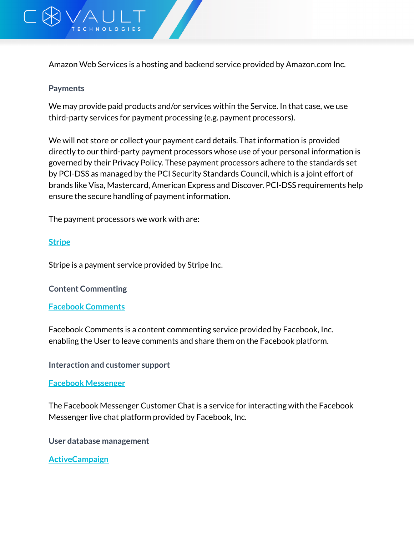

Amazon Web Services is a hosting and backend service provided by Amazon.com Inc.

### **Payments**

We may provide paid products and/or services within the Service. In that case, we use third-party services for payment processing (e.g. payment processors).

We will not store or collect your payment card details. That information is provided directly to our third-party payment processors whose use of your personal information is governed by their Privacy Policy. These payment processors adhere to the standards set by PCI-DSS as managed by the PCI Security Standards Council, which is a joint effort of brands like Visa, Mastercard, American Express and Discover. PCI-DSS requirements help ensure the secure handling of payment information.

The payment processors we work with are:

## **[Stripe](https://stripe.com/us/privacy)**

Stripe is a payment service provided by Stripe Inc.

#### **Content Commenting**

#### **Facebook [Comments](https://www.facebook.com/privacy/explanation)**

Facebook Comments is a content commenting service provided by Facebook, Inc. enabling the User to leave comments and share them on the Facebook platform.

**Interaction and customer support**

#### **Facebook [Messenger](https://www.facebook.com/about/privacy/)**

The Facebook Messenger Customer Chat is a service for interacting with the Facebook Messenger live chat platform provided by Facebook, Inc.

**User database management**

**[ActiveCampaign](https://help.activecampaign.com/hc/en-us/articles/218789997-Privacy-Policy)**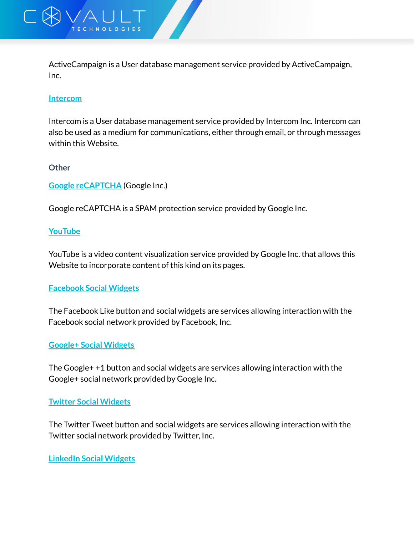

ActiveCampaign is a User database management service provided by ActiveCampaign, Inc.

### **[Intercom](https://docs.intercom.com/pricing-privacy-and-terms/privacy/intercom-inc-privacy-policy)**

Intercom is a User database management service provided by Intercom Inc. Intercom can also be used as a medium for communications, either through email, or through messages within this Website.

#### **Other**

**Google [reCAPTCHA](https://policies.google.com/privacy)** (Google Inc.)

Google reCAPTCHA is a SPAM protection service provided by Google Inc.

### **[YouTube](https://policies.google.com/privacy)**

YouTube is a video content visualization service provided by Google Inc. that allows this Website to incorporate content of this kind on its pages.

## **[Facebook](https://www.facebook.com/privacy/explanation) Social Widgets**

The Facebook Like button and social widgets are services allowing interaction with the Facebook social network provided by Facebook, Inc.

## **Google+ Social [Widgets](https://policies.google.com/privacy)**

The Google+ +1 button and social widgets are services allowing interaction with the Google+ social network provided by Google Inc.

## **Twitter Social [Widgets](https://twitter.com/en/privacy)**

The Twitter Tweet button and social widgets are services allowing interaction with the Twitter social network provided by Twitter, Inc.

#### **[LinkedIn](https://www.linkedin.com/legal/privacy-policy) Social Widgets**